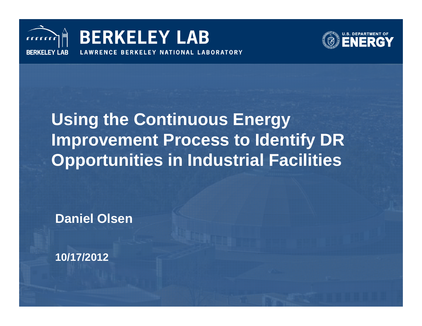

#### **BERKELEY LAB BERKELEY NATIONAL LABORATORY**



# **Using the Continuous Energy Improvement Process to Identify DR Opportunities in Industrial Facilities**

**Daniel Olsen**

**10/17/2012**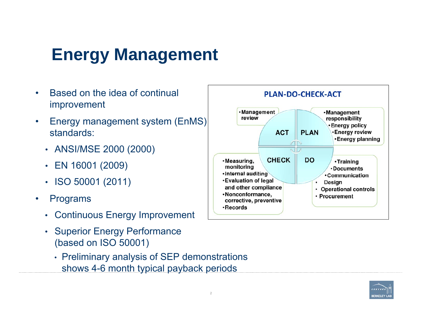### **Energy Management**

- • Based on the idea of continual improvement
- $\bullet$  Energy management system (EnMS) standards:
	- ANSI/MSE 2000 (2000)
	- EN 16001 (2009)
	- ISO 50001 (2011)
- $\bullet$  Programs
	- Continuous Energy Improvement
	- • Superior Energy Performance (based on ISO 50001)
		- Preliminary analysis of SEP demonstrations shows 4-6 month typical payback periods



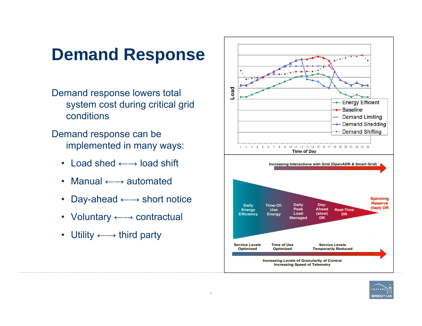### **Demand Response**

- Demand response lowers total system cost during critical grid conditions
- Demand response can be implemented in many ways:
	- Load shed  $\longleftrightarrow$  load shift
	- Manual ←→ automated
	- Day-ahead  $\longleftrightarrow$  short notice
	- Voluntary  $\longleftrightarrow$  contractual
	- Utility  $\longleftrightarrow$  third party



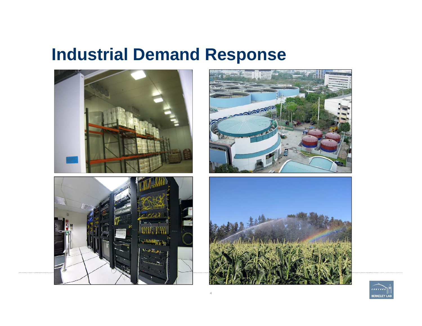## **Industrial Demand Response**









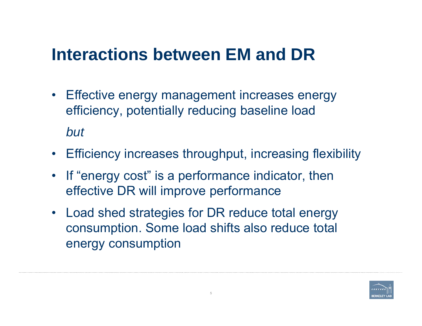### **Interactions between EM and DR**

- Effective energy management increases energy efficiency, potentially reducing baseline load *but*
- Efficiency increases throughput, increasing flexibility
- If "energy cost" is a performance indicator, then effective DR will improve performance
- Load shed strategies for DR reduce total energy consumption. Some load shifts also reduce total energy consumption

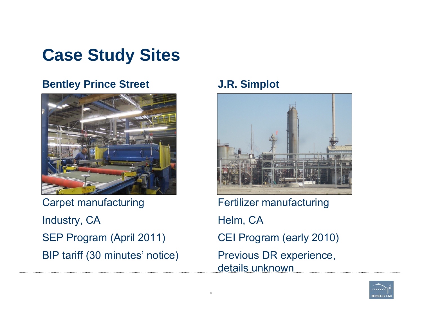### **Case Study Sites**

#### **Bentley Prince Street**



Carpet manufacturing Industry, CA SEP Program (April 2011) BIP tariff (30 minutes' notice)

#### **J.R. Simplot**



Fertilizer manufacturing Helm, CA CEI Program (early 2010) Previous DR experience, details unknown

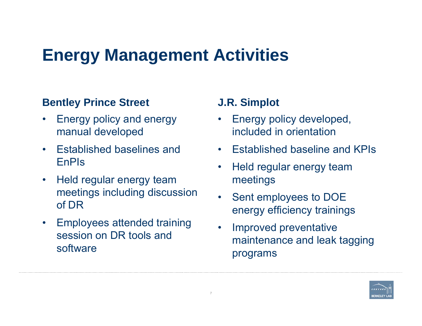### **Energy Management Activities**

#### **Bentley Prince Street**

- • Energy policy and energy manual developed
- $\bullet$  Established baselines and EnPIs
- $\bullet$  Held regular energy team meetings including discussion of DR
- $\bullet$  Employees attended training session on DR tools and software

#### **J.R. Simplot**

- • Energy policy developed, included in orientation
- Established baseline and KPIs
- $\bullet$  Held regular energy team meetings
- Sent employees to DOE energy efficiency trainings
- Improved preventative maintenance and leak tagging programs

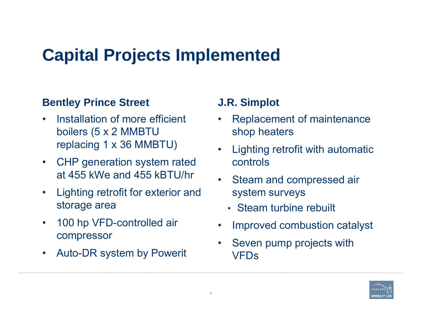## **Capital Projects Implemented**

#### **Bentley Prince Street**

- • Installation of more efficient boilers (5 x 2 MMBTU replacing 1 x 36 MMBTU)
- $\bullet$  CHP generation system rated at 455 kWe and 455 kBTU/hr
- $\bullet$  Lighting retrofit for exterior and storage area
- • 100 hp VFD-controlled air compressor
- $\bullet$ Auto-DR system by Powerit

#### **J.R. Simplot**

- • Replacement of maintenance shop heaters
- Lighting retrofit with automatic controls
- • Steam and compressed air system surveys
	- Steam turbine rebuilt
- •Improved combustion catalyst
- • Seven pump projects with VFDs

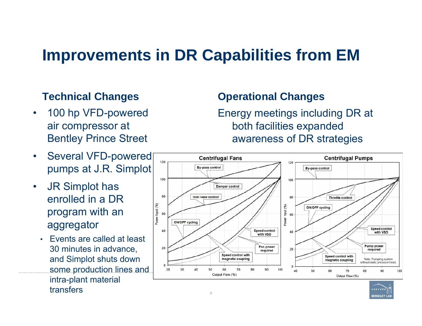### **Improvements in DR Capabilities from EM**

#### **Technical Changes**

- • 100 hp VFD-powered air compressor at Bentley Prince Street
- • Several VFD-powered pumps at J.R. Simplot
- • JR Simplot has enrolled in a DR program with an aggregator
	- Events are called at least 30 minutes in advance, and Simplot shuts down some production lines and intra-plant material transfers

#### **Operational Changes**

Energy meetings including DR at both facilities expanded awareness of DR strategies



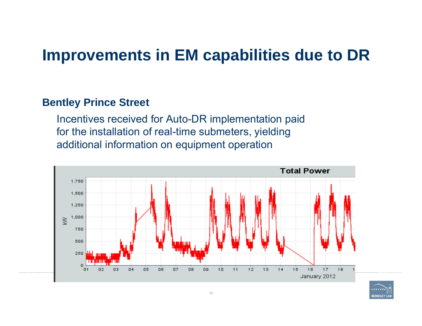### **Improvements in EM capabilities due to DR**

#### **Bentley Prince Street**

Incentives received for Auto-DR implementation paid for the installation of real-time submeters, yielding additional information on equipment operation



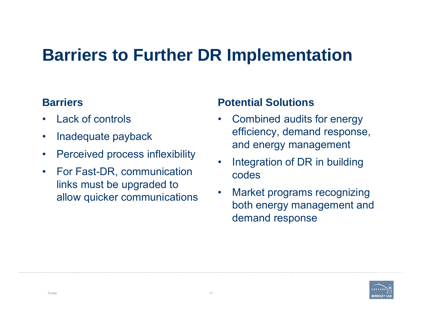### **Barriers to Further DR Implementation**

#### **Barriers**

- •Lack of controls
- •Inadequate payback
- $\bullet$ Perceived process inflexibility
- $\bullet$  For Fast-DR, communication links must be upgraded to allow quicker communications

#### **Potential Solutions**

- • Combined audits for energy efficiency, demand response, and energy management
- • Integration of DR in building codes
- $\bullet$  Market programs recognizing both energy management and demand response